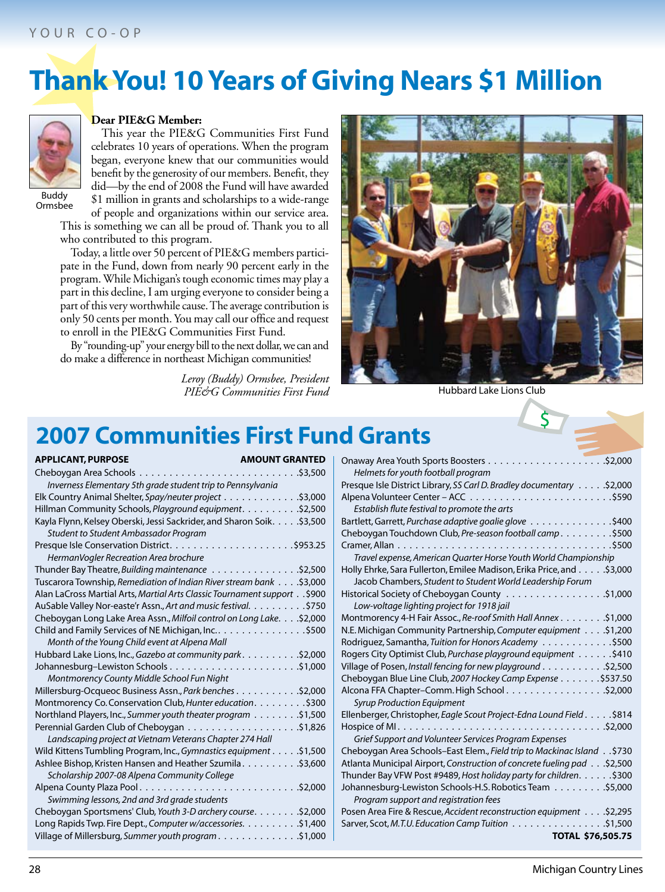# **Thank You! 10 Years of Giving Nears \$1 Million**



#### **Dear PIE&G Member:**

This year the PIE&G Communities First Fund celebrates 10 years of operations. When the program began, everyone knew that our communities would benefit by the generosity of our members. Benefit, they<br>did—by the end of 2008 the Fund will have awarded Buddy \$1 million in grants and scholarships to a wide-range Ormsbee

of people and organizations within our service area. This is something we can all be proud of. Thank you to all who contributed to this program.

Today, a little over 50 percent of PIE&G members participate in the Fund, down from nearly 90 percent early in the program. While Michigan's tough economic times may play a part in this decline, I am urging everyone to consider being a part of this very worthwhile cause. The average contribution is only 50 cents per month. You may call our office and request to enroll in the PIE&G Communities First Fund.

By "rounding-up" your energy bill to the next dollar, we can and do make a difference in northeast Michigan communities!

> PIE&G Communities First Fund **Hubbard Lake Lions Club** *Leroy (Buddy) Ormsbee, President*



### **2007 Communities First Fund Grants**

| <b>APPLICANT, PURPOSE</b><br><b>AMOUNT GRANTED</b>                          |  |
|-----------------------------------------------------------------------------|--|
|                                                                             |  |
| Inverness Elementary 5th grade student trip to Pennsylvania                 |  |
|                                                                             |  |
| Hillman Community Schools, Playground equipment. \$2,500                    |  |
| Kayla Flynn, Kelsey Oberski, Jessi Sackrider, and Sharon Soik. \$3,500      |  |
| Student to Student Ambassador Program                                       |  |
|                                                                             |  |
| HermanVogler Recreation Area brochure                                       |  |
|                                                                             |  |
| 53,000. Tuscarora Township, Remediation of Indian River stream bank \$3,000 |  |
| Alan LaCross Martial Arts, Martial Arts Classic Tournament support \$900    |  |
| AuSable Valley Nor-easte'r Assn., Art and music festival. \$750             |  |
| Cheboygan Long Lake Area Assn., Milfoil control on Long Lake. \$2,000       |  |
|                                                                             |  |
| Month of the Young Child event at Alpena Mall                               |  |
| 52,000. Hubbard Lake Lions, Inc., Gazebo at community park. 42,000          |  |
|                                                                             |  |
| Montmorency County Middle School Fun Night                                  |  |
| Millersburg-Ocqueoc Business Assn., Park benches \$2,000                    |  |
| Montmorency Co. Conservation Club, Hunter education. \$300                  |  |
| S1,500 Northland Players, Inc., Summer youth theater program                |  |
|                                                                             |  |
| Landscaping project at Vietnam Veterans Chapter 274 Hall                    |  |
| Wild Kittens Tumbling Program, Inc., Gymnastics equipment \$1,500           |  |
|                                                                             |  |
| Scholarship 2007-08 Alpena Community College                                |  |
|                                                                             |  |
| Swimming lessons, 2nd and 3rd grade students                                |  |
| Cheboygan Sportsmens' Club, Youth 3-D archery course. \$2,000               |  |
| Long Rapids Twp. Fire Dept., Computer w/accessories. 400                    |  |
| Village of Millersburg, Summer youth program \$1,000                        |  |

| Helmets for youth football program                                        |
|---------------------------------------------------------------------------|
| S2,000. Presque Isle District Library, SS Carl D. Bradley documentary     |
|                                                                           |
| Establish flute festival to promote the arts                              |
| S400 Bartlett, Garrett, Purchase adaptive goalie glove \$400              |
| Cheboygan Touchdown Club, Pre-season football camp. \$500                 |
|                                                                           |
| Travel expense, American Quarter Horse Youth World Championship           |
| Holly Ehrke, Sara Fullerton, Emilee Madison, Erika Price, and \$3,000     |
| Jacob Chambers, Student to Student World Leadership Forum                 |
|                                                                           |
| Low-voltage lighting project for 1918 jail                                |
| Montmorency 4-H Fair Assoc., Re-roof Smith Hall Annex \$1,000             |
| N.E. Michigan Community Partnership, Computer equipment \$1,200           |
| S500. Rodriguez, Samantha, Tuition for Honors Academy                     |
| Rogers City Optimist Club, Purchase playground equipment \$410            |
| Village of Posen, Install fencing for new playground \$2,500              |
| Cheboygan Blue Line Club, 2007 Hockey Camp Expense \$537.50               |
|                                                                           |
| <b>Syrup Production Equipment</b>                                         |
| Ellenberger, Christopher, Eagle Scout Project-Edna Lound Field \$814      |
|                                                                           |
| Grief Support and Volunteer Services Program Expenses                     |
| \$730. . Cheboygan Area Schools–East Elem., Field trip to Mackinac Island |
| Atlanta Municipal Airport, Construction of concrete fueling pad \$2,500   |
| Thunder Bay VFW Post #9489, Host holiday party for children. \$300        |
| Johannesburg-Lewiston Schools-H.S. Robotics Team \$5,000                  |
| Program support and registration fees                                     |
| Posen Area Fire & Rescue, Accident reconstruction equipment \$2,295       |
| \$1,500 Sarver, Scot, M.T.U. Education Camp Tuition \$1,500               |
| TOTAL \$76,505.75                                                         |
|                                                                           |